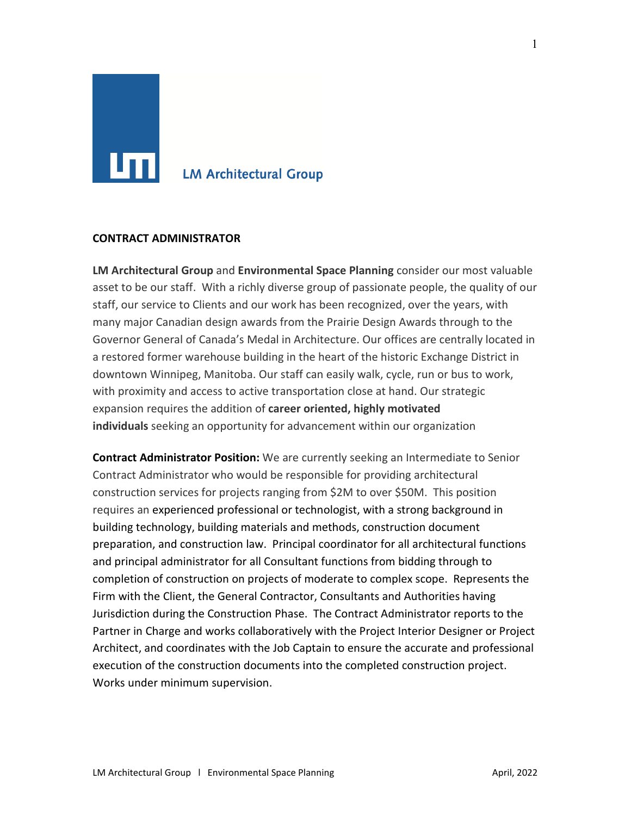# **LM Architectural Group**

#### **CONTRACT ADMINISTRATOR**

**LM Architectural Group** and **Environmental Space Planning** consider our most valuable asset to be our staff. With a richly diverse group of passionate people, the quality of our staff, our service to Clients and our work has been recognized, over the years, with many major Canadian design awards from the Prairie Design Awards through to the Governor General of Canada's Medal in Architecture. Our offices are centrally located in a restored former warehouse building in the heart of the historic Exchange District in downtown Winnipeg, Manitoba. Our staff can easily walk, cycle, run or bus to work, with proximity and access to active transportation close at hand. Our strategic expansion requires the addition of **career oriented, highly motivated individuals** seeking an opportunity for advancement within our organization

**Contract Administrator Position:** We are currently seeking an Intermediate to Senior Contract Administrator who would be responsible for providing architectural construction services for projects ranging from \$2M to over \$50M. This position requires an experienced professional or technologist, with a strong background in building technology, building materials and methods, construction document preparation, and construction law. Principal coordinator for all architectural functions and principal administrator for all Consultant functions from bidding through to completion of construction on projects of moderate to complex scope. Represents the Firm with the Client, the General Contractor, Consultants and Authorities having Jurisdiction during the Construction Phase. The Contract Administrator reports to the Partner in Charge and works collaboratively with the Project Interior Designer or Project Architect, and coordinates with the Job Captain to ensure the accurate and professional execution of the construction documents into the completed construction project. Works under minimum supervision.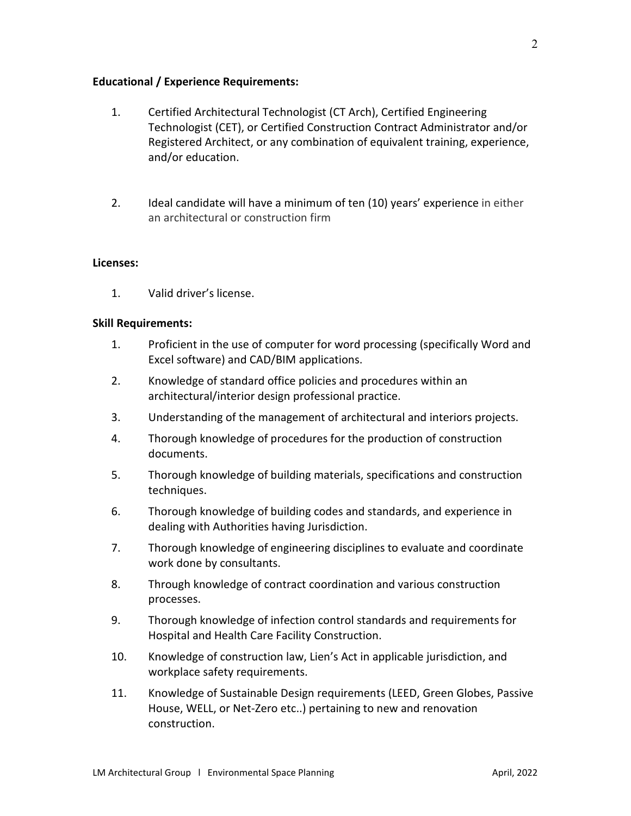### **Educational / Experience Requirements:**

- 1. Certified Architectural Technologist (CT Arch), Certified Engineering Technologist (CET), or Certified Construction Contract Administrator and/or Registered Architect, or any combination of equivalent training, experience, and/or education.
- 2. Ideal candidate will have a minimum of ten (10) years' experience in either an architectural or construction firm

#### **Licenses:**

1. Valid driver's license.

### **Skill Requirements:**

- 1. Proficient in the use of computer for word processing (specifically Word and Excel software) and CAD/BIM applications.
- 2. Knowledge of standard office policies and procedures within an architectural/interior design professional practice.
- 3. Understanding of the management of architectural and interiors projects.
- 4. Thorough knowledge of procedures for the production of construction documents.
- 5. Thorough knowledge of building materials, specifications and construction techniques.
- 6. Thorough knowledge of building codes and standards, and experience in dealing with Authorities having Jurisdiction.
- 7. Thorough knowledge of engineering disciplines to evaluate and coordinate work done by consultants.
- 8. Through knowledge of contract coordination and various construction processes.
- 9. Thorough knowledge of infection control standards and requirements for Hospital and Health Care Facility Construction.
- 10. Knowledge of construction law, Lien's Act in applicable jurisdiction, and workplace safety requirements.
- 11. Knowledge of Sustainable Design requirements (LEED, Green Globes, Passive House, WELL, or Net-Zero etc..) pertaining to new and renovation construction.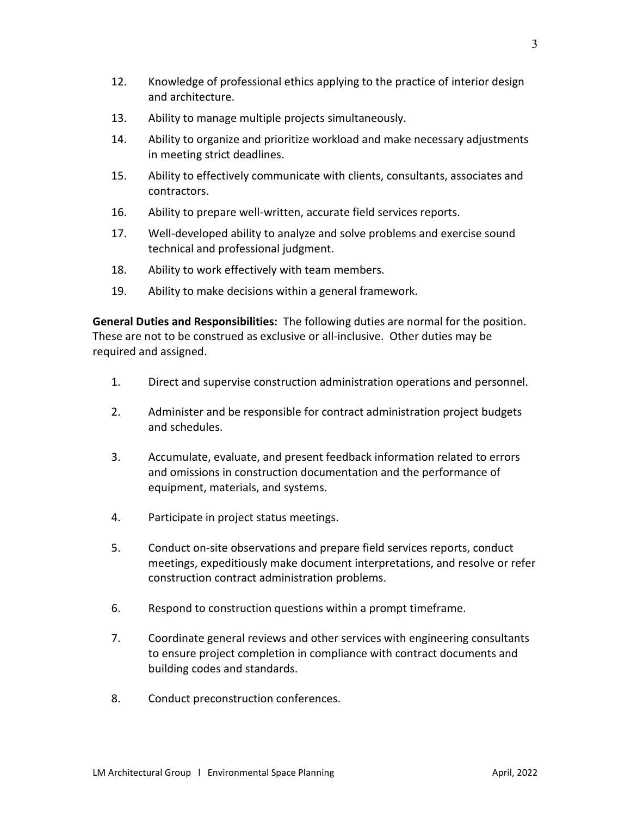- 13. Ability to manage multiple projects simultaneously.
- 14. Ability to organize and prioritize workload and make necessary adjustments in meeting strict deadlines.
- 15. Ability to effectively communicate with clients, consultants, associates and contractors.
- 16. Ability to prepare well-written, accurate field services reports.
- 17. Well-developed ability to analyze and solve problems and exercise sound technical and professional judgment.
- 18. Ability to work effectively with team members.
- 19. Ability to make decisions within a general framework.

**General Duties and Responsibilities:** The following duties are normal for the position. These are not to be construed as exclusive or all-inclusive. Other duties may be required and assigned.

- 1. Direct and supervise construction administration operations and personnel.
- 2. Administer and be responsible for contract administration project budgets and schedules.
- 3. Accumulate, evaluate, and present feedback information related to errors and omissions in construction documentation and the performance of equipment, materials, and systems.
- 4. Participate in project status meetings.
- 5. Conduct on-site observations and prepare field services reports, conduct meetings, expeditiously make document interpretations, and resolve or refer construction contract administration problems.
- 6. Respond to construction questions within a prompt timeframe.
- 7. Coordinate general reviews and other services with engineering consultants to ensure project completion in compliance with contract documents and building codes and standards.
- 8. Conduct preconstruction conferences.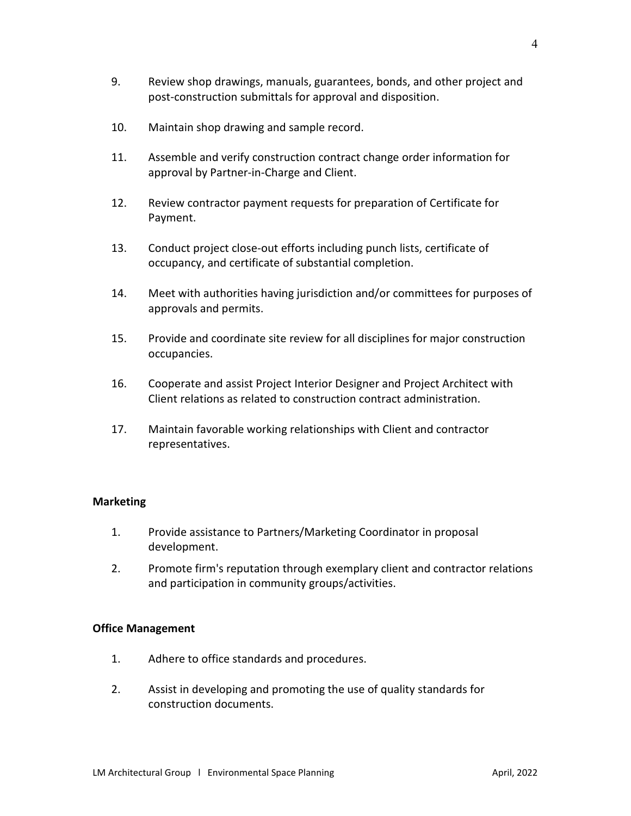- 10. Maintain shop drawing and sample record.
- 11. Assemble and verify construction contract change order information for approval by Partner-in-Charge and Client.
- 12. Review contractor payment requests for preparation of Certificate for Payment.
- 13. Conduct project close-out efforts including punch lists, certificate of occupancy, and certificate of substantial completion.
- 14. Meet with authorities having jurisdiction and/or committees for purposes of approvals and permits.
- 15. Provide and coordinate site review for all disciplines for major construction occupancies.
- 16. Cooperate and assist Project Interior Designer and Project Architect with Client relations as related to construction contract administration.
- 17. Maintain favorable working relationships with Client and contractor representatives.

# **Marketing**

- 1. Provide assistance to Partners/Marketing Coordinator in proposal development.
- 2. Promote firm's reputation through exemplary client and contractor relations and participation in community groups/activities.

# **Office Management**

- 1. Adhere to office standards and procedures.
- 2. Assist in developing and promoting the use of quality standards for construction documents.